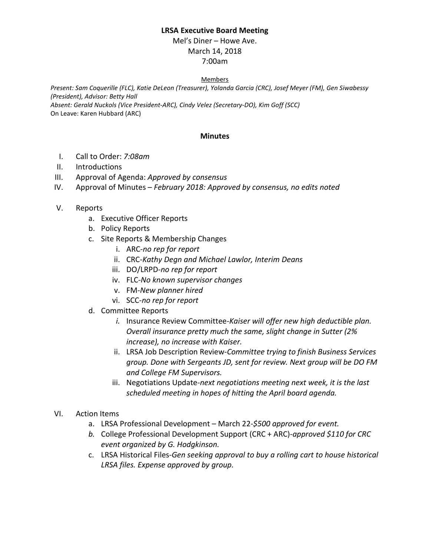## **LRSA Executive Board Meeting**

Mel's Diner – Howe Ave. March 14, 2018 7:00am

## Members

*Present: Sam Coquerille (FLC), Katie DeLeon (Treasurer), Yolanda Garcia (CRC), Josef Meyer (FM), Gen Siwabessy (President), Advisor: Betty Hall Absent: Gerald Nuckols (Vice President-ARC), Cindy Velez (Secretary-DO), Kim Goff (SCC)*

On Leave: Karen Hubbard (ARC)

## **Minutes**

- I. Call to Order: *7:08am*
- II. Introductions
- III. Approval of Agenda: *Approved by consensus*
- IV. Approval of Minutes *February 2018: Approved by consensus, no edits noted*
- V. Reports
	- a. Executive Officer Reports
	- b. Policy Reports
	- c. Site Reports & Membership Changes
		- i. ARC-*no rep for report*
		- ii. CRC-*Kathy Degn and Michael Lawlor, Interim Deans*
		- iii. DO/LRPD-*no rep for report*
		- iv. FLC-*No known supervisor changes*
		- v. FM-*New planner hired*
		- vi. SCC-*no rep for report*
	- d. Committee Reports
		- *i.* Insurance Review Committee-*Kaiser will offer new high deductible plan. Overall insurance pretty much the same, slight change in Sutter (2% increase), no increase with Kaiser.*
		- ii. LRSA Job Description Review*-Committee trying to finish Business Services group. Done with Sergeants JD, sent for review. Next group will be DO FM and College FM Supervisors.*
		- iii. Negotiations Update-*next negotiations meeting next week, it is the last scheduled meeting in hopes of hitting the April board agenda.*
- VI. Action Items
	- a. LRSA Professional Development March 22-*\$500 approved for event.*
	- *b.* College Professional Development Support (CRC + ARC)-*approved \$110 for CRC event organized by G. Hodgkinson.*
	- c. LRSA Historical Files-*Gen seeking approval to buy a rolling cart to house historical LRSA files. Expense approved by group.*